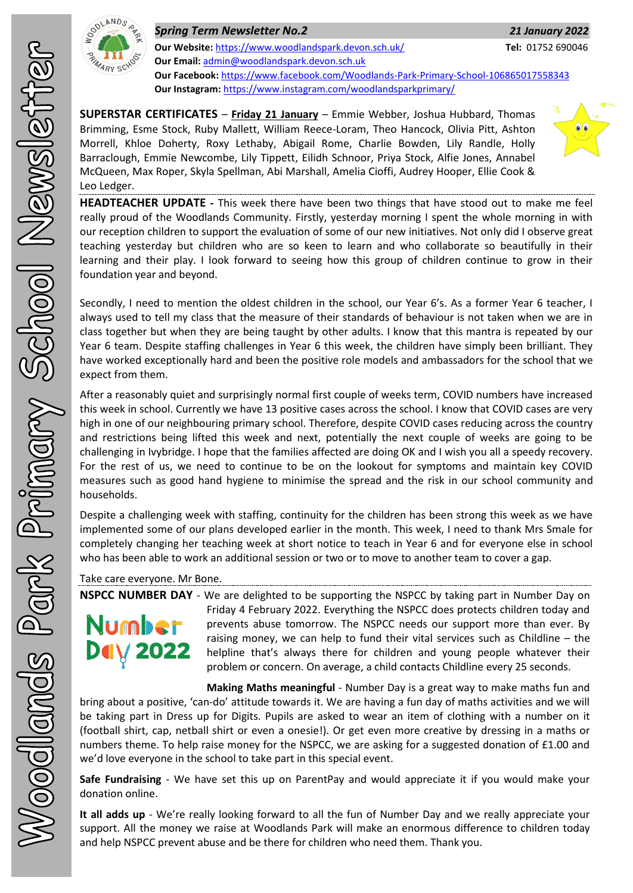

*Spring Term Newsletter No.2 21 January 2022* **Our Website:** <https://www.woodlandspark.devon.sch.uk/> **Tel:** 01752 690046 **Our Email:** [admin@woodlandspark.devon.sch.uk](mailto:admin@woodlandspark.devon.sch.uk) **Our Facebook:** <https://www.facebook.com/Woodlands-Park-Primary-School-106865017558343> **Our Instagram:** <https://www.instagram.com/woodlandsparkprimary/>

**SUPERSTAR CERTIFICATES** – **Friday 21 January** – Emmie Webber, Joshua Hubbard, Thomas Brimming, Esme Stock, Ruby Mallett, William Reece-Loram, Theo Hancock, Olivia Pitt, Ashton Morrell, Khloe Doherty, Roxy Lethaby, Abigail Rome, Charlie Bowden, Lily Randle, Holly Barraclough, Emmie Newcombe, Lily Tippett, Eilidh Schnoor, Priya Stock, Alfie Jones, Annabel McQueen, Max Roper, Skyla Spellman, Abi Marshall, Amelia Cioffi, Audrey Hooper, Ellie Cook & Leo Ledger.



**HEADTEACHER UPDATE -** This week there have been two things that have stood out to make me feel really proud of the Woodlands Community. Firstly, yesterday morning I spent the whole morning in with our reception children to support the evaluation of some of our new initiatives. Not only did I observe great teaching yesterday but children who are so keen to learn and who collaborate so beautifully in their learning and their play. I look forward to seeing how this group of children continue to grow in their foundation year and beyond.

Secondly, I need to mention the oldest children in the school, our Year 6's. As a former Year 6 teacher, I always used to tell my class that the measure of their standards of behaviour is not taken when we are in class together but when they are being taught by other adults. I know that this mantra is repeated by our Year 6 team. Despite staffing challenges in Year 6 this week, the children have simply been brilliant. They have worked exceptionally hard and been the positive role models and ambassadors for the school that we expect from them.

After a reasonably quiet and surprisingly normal first couple of weeks term, COVID numbers have increased this week in school. Currently we have 13 positive cases across the school. I know that COVID cases are very high in one of our neighbouring primary school. Therefore, despite COVID cases reducing across the country and restrictions being lifted this week and next, potentially the next couple of weeks are going to be challenging in Ivybridge. I hope that the families affected are doing OK and I wish you all a speedy recovery. For the rest of us, we need to continue to be on the lookout for symptoms and maintain key COVID measures such as good hand hygiene to minimise the spread and the risk in our school community and households.

Despite a challenging week with staffing, continuity for the children has been strong this week as we have implemented some of our plans developed earlier in the month. This week, I need to thank Mrs Smale for completely changing her teaching week at short notice to teach in Year 6 and for everyone else in school who has been able to work an additional session or two or to move to another team to cover a gap.

Take care everyone. Mr Bone.

# Number **Dely 2022**

**NSPCC NUMBER DAY** - We are delighted to be supporting the NSPCC by taking part in Number Day on Friday 4 February 2022. Everything the NSPCC does protects children today and prevents abuse tomorrow. The NSPCC needs our support more than ever. By raising money, we can help to fund their vital services such as Childline – the helpline that's always there for children and young people whatever their problem or concern. On average, a child contacts Childline every 25 seconds.

**Making Maths meaningful** - Number Day is a great way to make maths fun and bring about a positive, 'can-do' attitude towards it. We are having a fun day of maths activities and we will be taking part in Dress up for Digits. Pupils are asked to wear an item of clothing with a number on it (football shirt, cap, netball shirt or even a onesie!). Or get even more creative by dressing in a maths or numbers theme. To help raise money for the NSPCC, we are asking for a suggested donation of £1.00 and we'd love everyone in the school to take part in this special event.

**Safe Fundraising** - We have set this up on ParentPay and would appreciate it if you would make your donation online.

**It all adds up** - We're really looking forward to all the fun of Number Day and we really appreciate your support. All the money we raise at Woodlands Park will make an enormous difference to children today and help NSPCC prevent abuse and be there for children who need them. Thank you.